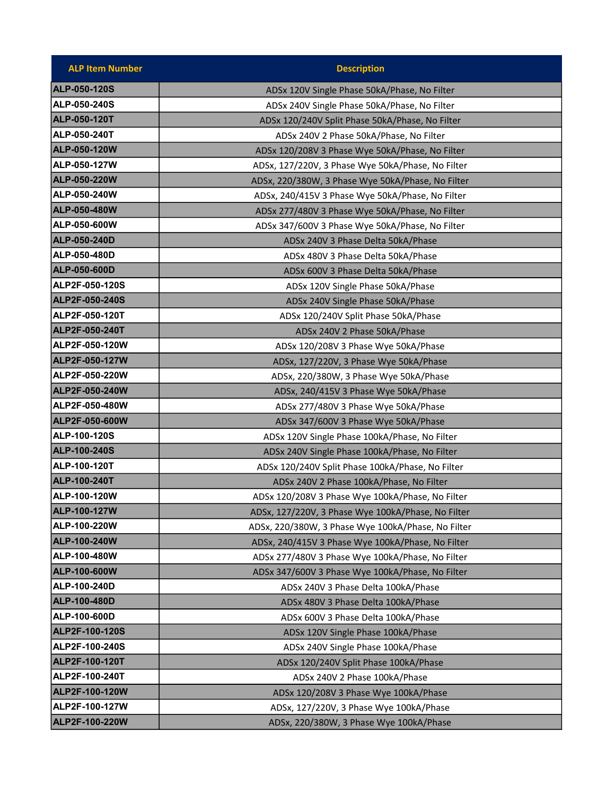| <b>ALP Item Number</b> | <b>Description</b>                                 |
|------------------------|----------------------------------------------------|
| <b>ALP-050-120S</b>    | ADSx 120V Single Phase 50kA/Phase, No Filter       |
| ALP-050-240S           | ADSx 240V Single Phase 50kA/Phase, No Filter       |
| <b>ALP-050-120T</b>    | ADSx 120/240V Split Phase 50kA/Phase, No Filter    |
| ALP-050-240T           | ADSx 240V 2 Phase 50kA/Phase, No Filter            |
| <b>ALP-050-120W</b>    | ADSx 120/208V 3 Phase Wye 50kA/Phase, No Filter    |
| ALP-050-127W           | ADSx, 127/220V, 3 Phase Wye 50kA/Phase, No Filter  |
| <b>ALP-050-220W</b>    | ADSx, 220/380W, 3 Phase Wye 50kA/Phase, No Filter  |
| ALP-050-240W           | ADSx, 240/415V 3 Phase Wye 50kA/Phase, No Filter   |
| <b>ALP-050-480W</b>    | ADSx 277/480V 3 Phase Wye 50kA/Phase, No Filter    |
| ALP-050-600W           | ADSx 347/600V 3 Phase Wye 50kA/Phase, No Filter    |
| <b>ALP-050-240D</b>    | ADSx 240V 3 Phase Delta 50kA/Phase                 |
| ALP-050-480D           | ADSx 480V 3 Phase Delta 50kA/Phase                 |
| <b>ALP-050-600D</b>    | ADSx 600V 3 Phase Delta 50kA/Phase                 |
| ALP2F-050-120S         | ADSx 120V Single Phase 50kA/Phase                  |
| ALP2F-050-240S         | ADSx 240V Single Phase 50kA/Phase                  |
| ALP2F-050-120T         | ADSx 120/240V Split Phase 50kA/Phase               |
| <b>ALP2F-050-240T</b>  | ADSx 240V 2 Phase 50kA/Phase                       |
| ALP2F-050-120W         | ADSx 120/208V 3 Phase Wye 50kA/Phase               |
| <b>ALP2F-050-127W</b>  | ADSx, 127/220V, 3 Phase Wye 50kA/Phase             |
| ALP2F-050-220W         | ADSx, 220/380W, 3 Phase Wye 50kA/Phase             |
| <b>ALP2F-050-240W</b>  | ADSx, 240/415V 3 Phase Wye 50kA/Phase              |
| ALP2F-050-480W         | ADSx 277/480V 3 Phase Wye 50kA/Phase               |
| ALP2F-050-600W         | ADSx 347/600V 3 Phase Wye 50kA/Phase               |
| ALP-100-120S           | ADSx 120V Single Phase 100kA/Phase, No Filter      |
| <b>ALP-100-240S</b>    | ADSx 240V Single Phase 100kA/Phase, No Filter      |
| ALP-100-120T           | ADSx 120/240V Split Phase 100kA/Phase, No Filter   |
| <b>ALP-100-240T</b>    | ADSx 240V 2 Phase 100kA/Phase, No Filter           |
| <b>ALP-100-120W</b>    | ADSx 120/208V 3 Phase Wye 100kA/Phase, No Filter   |
| ALP-100-127W           | ADSx, 127/220V, 3 Phase Wye 100kA/Phase, No Filter |
| ALP-100-220W           | ADSx, 220/380W, 3 Phase Wye 100kA/Phase, No Filter |
| <b>ALP-100-240W</b>    | ADSx, 240/415V 3 Phase Wye 100kA/Phase, No Filter  |
| ALP-100-480W           | ADSx 277/480V 3 Phase Wye 100kA/Phase, No Filter   |
| <b>ALP-100-600W</b>    | ADSx 347/600V 3 Phase Wye 100kA/Phase, No Filter   |
| ALP-100-240D           | ADSx 240V 3 Phase Delta 100kA/Phase                |
| <b>ALP-100-480D</b>    | ADSx 480V 3 Phase Delta 100kA/Phase                |
| ALP-100-600D           | ADSx 600V 3 Phase Delta 100kA/Phase                |
| ALP2F-100-120S         | ADSx 120V Single Phase 100kA/Phase                 |
| ALP2F-100-240S         | ADSx 240V Single Phase 100kA/Phase                 |
| <b>ALP2F-100-120T</b>  | ADSx 120/240V Split Phase 100kA/Phase              |
| ALP2F-100-240T         | ADSx 240V 2 Phase 100kA/Phase                      |
| ALP2F-100-120W         | ADSx 120/208V 3 Phase Wye 100kA/Phase              |
| ALP2F-100-127W         | ADSx, 127/220V, 3 Phase Wye 100kA/Phase            |
| <b>ALP2F-100-220W</b>  | ADSx, 220/380W, 3 Phase Wye 100kA/Phase            |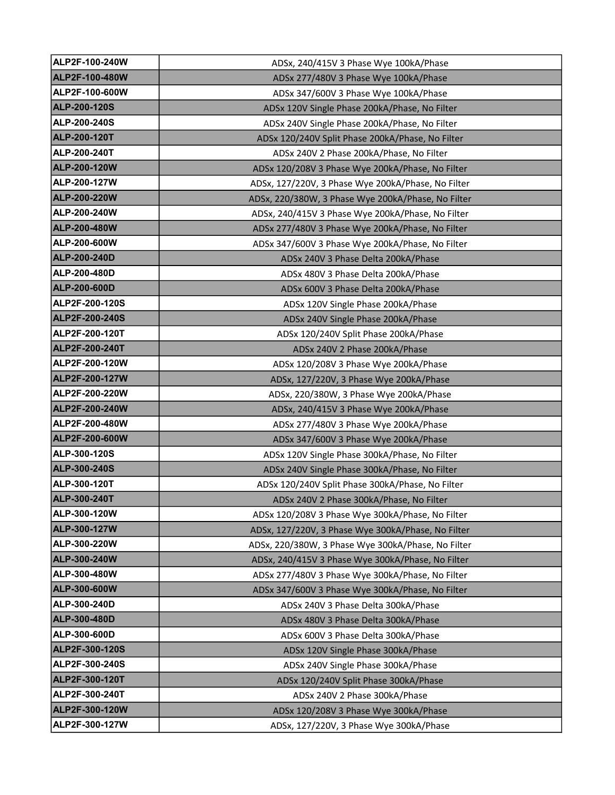| ALP2F-100-240W      | ADSx, 240/415V 3 Phase Wye 100kA/Phase             |
|---------------------|----------------------------------------------------|
| ALP2F-100-480W      | ADSx 277/480V 3 Phase Wye 100kA/Phase              |
| ALP2F-100-600W      | ADSx 347/600V 3 Phase Wye 100kA/Phase              |
| ALP-200-120S        | ADSx 120V Single Phase 200kA/Phase, No Filter      |
| ALP-200-240S        | ADSx 240V Single Phase 200kA/Phase, No Filter      |
| <b>ALP-200-120T</b> | ADSx 120/240V Split Phase 200kA/Phase, No Filter   |
| ALP-200-240T        | ADSx 240V 2 Phase 200kA/Phase, No Filter           |
| <b>ALP-200-120W</b> | ADSx 120/208V 3 Phase Wye 200kA/Phase, No Filter   |
| ALP-200-127W        | ADSx, 127/220V, 3 Phase Wye 200kA/Phase, No Filter |
| <b>ALP-200-220W</b> | ADSx, 220/380W, 3 Phase Wye 200kA/Phase, No Filter |
| ALP-200-240W        | ADSx, 240/415V 3 Phase Wye 200kA/Phase, No Filter  |
| <b>ALP-200-480W</b> | ADSx 277/480V 3 Phase Wye 200kA/Phase, No Filter   |
| ALP-200-600W        | ADSx 347/600V 3 Phase Wye 200kA/Phase, No Filter   |
| <b>ALP-200-240D</b> | ADSx 240V 3 Phase Delta 200kA/Phase                |
| ALP-200-480D        | ADSx 480V 3 Phase Delta 200kA/Phase                |
| <b>ALP-200-600D</b> | ADSx 600V 3 Phase Delta 200kA/Phase                |
| ALP2F-200-120S      | ADSx 120V Single Phase 200kA/Phase                 |
| ALP2F-200-240S      | ADSx 240V Single Phase 200kA/Phase                 |
| ALP2F-200-120T      | ADSx 120/240V Split Phase 200kA/Phase              |
| ALP2F-200-240T      | ADSx 240V 2 Phase 200kA/Phase                      |
| ALP2F-200-120W      | ADSx 120/208V 3 Phase Wye 200kA/Phase              |
| ALP2F-200-127W      | ADSx, 127/220V, 3 Phase Wye 200kA/Phase            |
| ALP2F-200-220W      | ADSx, 220/380W, 3 Phase Wye 200kA/Phase            |
| ALP2F-200-240W      | ADSx, 240/415V 3 Phase Wye 200kA/Phase             |
| ALP2F-200-480W      | ADSx 277/480V 3 Phase Wye 200kA/Phase              |
| ALP2F-200-600W      | ADSx 347/600V 3 Phase Wye 200kA/Phase              |
| ALP-300-120S        | ADSx 120V Single Phase 300kA/Phase, No Filter      |
| ALP-300-240S        | ADSx 240V Single Phase 300kA/Phase, No Filter      |
| ALP-300-120T        | ADSx 120/240V Split Phase 300kA/Phase, No Filter   |
| ALP-300-240T        | ADSx 240V 2 Phase 300kA/Phase, No Filter           |
| ALP-300-120W        | ADSx 120/208V 3 Phase Wye 300kA/Phase, No Filter   |
| ALP-300-127W        | ADSx, 127/220V, 3 Phase Wye 300kA/Phase, No Filter |
| ALP-300-220W        | ADSx, 220/380W, 3 Phase Wye 300kA/Phase, No Filter |
| ALP-300-240W        | ADSx, 240/415V 3 Phase Wye 300kA/Phase, No Filter  |
| ALP-300-480W        | ADSx 277/480V 3 Phase Wye 300kA/Phase, No Filter   |
| <b>ALP-300-600W</b> | ADSx 347/600V 3 Phase Wye 300kA/Phase, No Filter   |
| ALP-300-240D        | ADSx 240V 3 Phase Delta 300kA/Phase                |
| ALP-300-480D        | ADSx 480V 3 Phase Delta 300kA/Phase                |
| ALP-300-600D        | ADSx 600V 3 Phase Delta 300kA/Phase                |
| ALP2F-300-120S      | ADSx 120V Single Phase 300kA/Phase                 |
| ALP2F-300-240S      | ADSx 240V Single Phase 300kA/Phase                 |
| ALP2F-300-120T      | ADSx 120/240V Split Phase 300kA/Phase              |
| ALP2F-300-240T      | ADSx 240V 2 Phase 300kA/Phase                      |
| ALP2F-300-120W      | ADSx 120/208V 3 Phase Wye 300kA/Phase              |
| ALP2F-300-127W      | ADSx, 127/220V, 3 Phase Wye 300kA/Phase            |